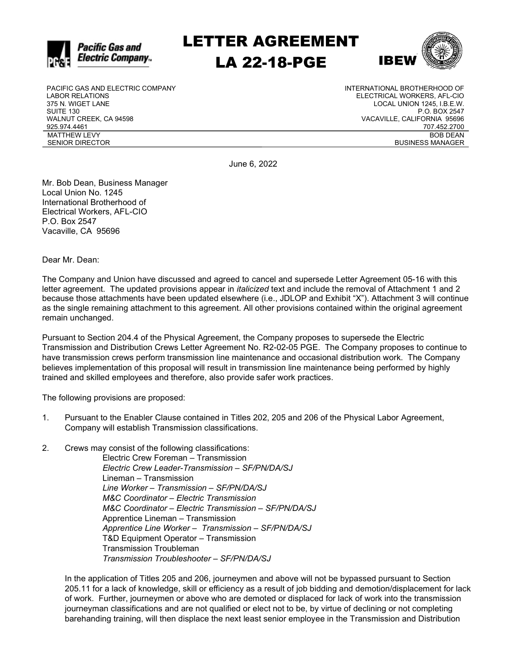

LETTER AGREEMENT LA 22-18-PGE



PACIFIC GAS AND ELECTRIC COMPANY LABOR RELATIONS 375 N. WIGET LANE SUITE 130 WALNUT CREEK, CA 94598 925.974.4461 MATTHEW LEVY SENIOR DIRECTOR

INTERNATIONAL BROTHERHOOD OF ELECTRICAL WORKERS, AFL-CIO LOCAL UNION 1245, I.B.E.W. P.O. BOX 2547 VACAVILLE, CALIFORNIA 95696 707.452.2700 BOB DEAN BUSINESS MANAGER

June 6, 2022

Mr. Bob Dean, Business Manager Local Union No. 1245 International Brotherhood of Electrical Workers, AFL-CIO P.O. Box 2547 Vacaville, CA 95696

Dear Mr. Dean:

The Company and Union have discussed and agreed to cancel and supersede Letter Agreement 05-16 with this letter agreement. The updated provisions appear in *italicized* text and include the removal of Attachment 1 and 2 because those attachments have been updated elsewhere (i.e., JDLOP and Exhibit "X"). Attachment 3 will continue as the single remaining attachment to this agreement. All other provisions contained within the original agreement remain unchanged.

Pursuant to Section 204.4 of the Physical Agreement, the Company proposes to supersede the Electric Transmission and Distribution Crews Letter Agreement No. R2-02-05 PGE. The Company proposes to continue to have transmission crews perform transmission line maintenance and occasional distribution work. The Company believes implementation of this proposal will result in transmission line maintenance being performed by highly trained and skilled employees and therefore, also provide safer work practices.

The following provisions are proposed:

- 1. Pursuant to the Enabler Clause contained in Titles 202, 205 and 206 of the Physical Labor Agreement, Company will establish Transmission classifications.
- 2. Crews may consist of the following classifications:

Electric Crew Foreman – Transmission Electric Crew Leader-Transmission – SF/PN/DA/SJ Lineman – Transmission Line Worker – Transmission – SF/PN/DA/SJ M&C Coordinator – Electric Transmission M&C Coordinator – Electric Transmission – SF/PN/DA/SJ Apprentice Lineman – Transmission Apprentice Line Worker – Transmission – SF/PN/DA/SJ T&D Equipment Operator – Transmission Transmission Troubleman Transmission Troubleshooter – SF/PN/DA/SJ

In the application of Titles 205 and 206, journeymen and above will not be bypassed pursuant to Section 205.11 for a lack of knowledge, skill or efficiency as a result of job bidding and demotion/displacement for lack of work. Further, journeymen or above who are demoted or displaced for lack of work into the transmission journeyman classifications and are not qualified or elect not to be, by virtue of declining or not completing barehanding training, will then displace the next least senior employee in the Transmission and Distribution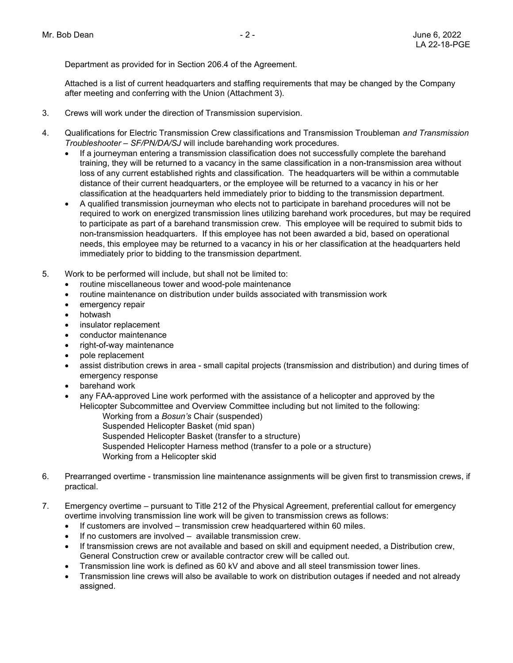Department as provided for in Section 206.4 of the Agreement.

Attached is a list of current headquarters and staffing requirements that may be changed by the Company after meeting and conferring with the Union (Attachment 3).

- 3. Crews will work under the direction of Transmission supervision.
- 4. Qualifications for Electric Transmission Crew classifications and Transmission Troubleman and Transmission Troubleshooter – SF/PN/DA/SJ will include barehanding work procedures.
	- If a journeyman entering a transmission classification does not successfully complete the barehand training, they will be returned to a vacancy in the same classification in a non-transmission area without loss of any current established rights and classification. The headquarters will be within a commutable distance of their current headquarters, or the employee will be returned to a vacancy in his or her classification at the headquarters held immediately prior to bidding to the transmission department.
	- A qualified transmission journeyman who elects not to participate in barehand procedures will not be required to work on energized transmission lines utilizing barehand work procedures, but may be required to participate as part of a barehand transmission crew. This employee will be required to submit bids to non-transmission headquarters. If this employee has not been awarded a bid, based on operational needs, this employee may be returned to a vacancy in his or her classification at the headquarters held immediately prior to bidding to the transmission department.
- 5. Work to be performed will include, but shall not be limited to:
	- routine miscellaneous tower and wood-pole maintenance
	- routine maintenance on distribution under builds associated with transmission work
	- emergency repair
	- hotwash
	- insulator replacement
	- conductor maintenance
	- right-of-way maintenance
	- pole replacement
	- assist distribution crews in area small capital projects (transmission and distribution) and during times of emergency response
	- barehand work
	- any FAA-approved Line work performed with the assistance of a helicopter and approved by the Helicopter Subcommittee and Overview Committee including but not limited to the following:
		- Working from a Bosun's Chair (suspended)
		- Suspended Helicopter Basket (mid span)
		- Suspended Helicopter Basket (transfer to a structure)
		- Suspended Helicopter Harness method (transfer to a pole or a structure)
		- Working from a Helicopter skid
- 6. Prearranged overtime transmission line maintenance assignments will be given first to transmission crews, if practical.
- 7. Emergency overtime pursuant to Title 212 of the Physical Agreement, preferential callout for emergency overtime involving transmission line work will be given to transmission crews as follows:
	- If customers are involved transmission crew headquartered within 60 miles.
	- If no customers are involved available transmission crew.
	- If transmission crews are not available and based on skill and equipment needed, a Distribution crew, General Construction crew or available contractor crew will be called out.
	- Transmission line work is defined as 60 kV and above and all steel transmission tower lines.
	- Transmission line crews will also be available to work on distribution outages if needed and not already assigned.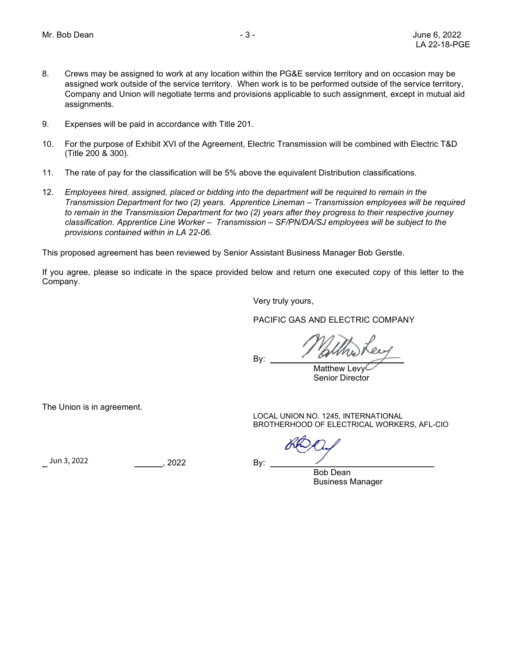- 8. Crews may be assigned to work at any location within the PG&E service territory and on occasion may be assigned work outside of the service territory. When work is to be performed outside of the service territory, Company and Union will negotiate terms and provisions applicable to such assignment, except in mutual aid assignments.
- 9. Expenses will be paid in accordance with Title 201.
- 10. For the purpose of Exhibit XVI of the Agreement, Electric Transmission will be combined with Electric T&D (Title 200 & 300).
- 11. The rate of pay for the classification will be 5% above the equivalent Distribution classifications.
- 12. Employees hired, assigned, placed or bidding into the department will be required to remain in the Transmission Department for two (2) years. Apprentice Lineman – Transmission employees will be required to remain in the Transmission Department for two (2) years after they progress to their respective journey classification. Apprentice Line Worker – Transmission – SF/PN/DA/SJ employees will be subject to the provisions contained within in LA 22-06.

This proposed agreement has been reviewed by Senior Assistant Business Manager Bob Gerstle.

If you agree, please so indicate in the space provided below and return one executed copy of this letter to the Company.

By:

Very truly yours,

PACIFIC GAS AND ELECTRIC COMPANY

Matthew Levy<sup>C</sup> Senior Director

The Union is in agreement.

LOCAL UNION NO. 1245, INTERNATIONAL BROTHERHOOD OF ELECTRICAL WORKERS, AFL-CIO

, 2022 By:  ${Jun 3, 2022}$   ${.2022}$  By:

Bob Dean Business Manager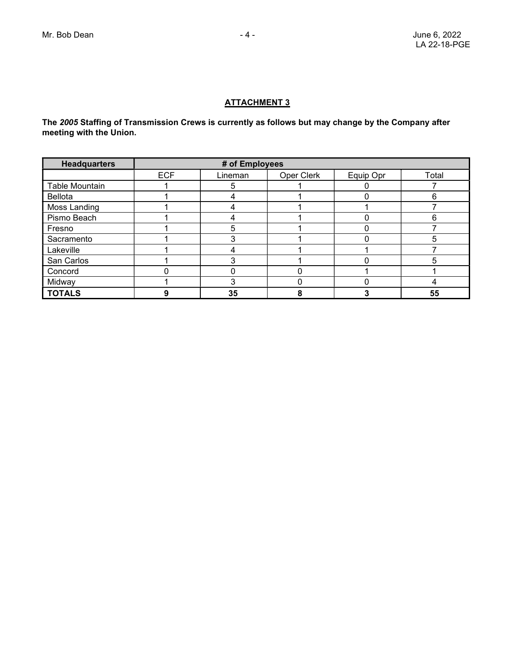## ATTACHMENT 3

The 2005 Staffing of Transmission Crews is currently as follows but may change by the Company after meeting with the Union.

| <b>Headquarters</b> | # of Employees |         |            |           |                |
|---------------------|----------------|---------|------------|-----------|----------------|
|                     | <b>ECF</b>     | Lineman | Oper Clerk | Equip Opr | Total          |
| Table Mountain      |                | 5       |            |           |                |
| Bellota             |                |         |            |           | 6              |
| Moss Landing        |                |         |            |           |                |
| Pismo Beach         |                |         |            |           | 6              |
| Fresno              |                | 5       |            |           |                |
| Sacramento          |                |         |            |           | 5              |
| Lakeville           |                |         |            |           |                |
| San Carlos          |                |         |            |           | $\overline{5}$ |
| Concord             |                |         |            |           |                |
| Midway              |                |         |            |           |                |
| <b>TOTALS</b>       |                | 35      |            |           | 55             |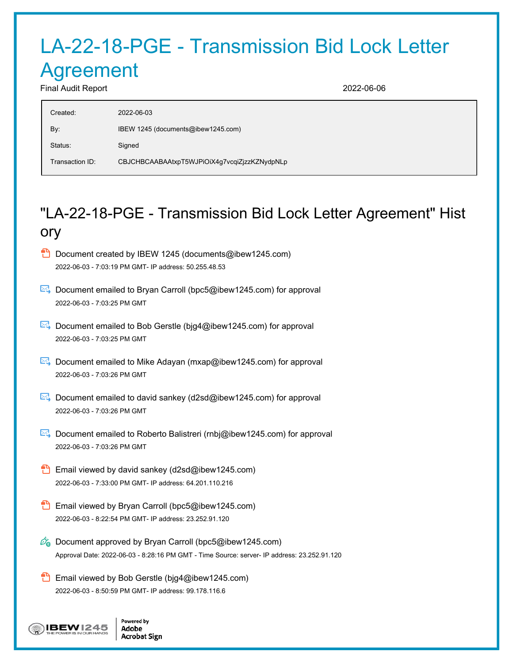## LA-22-18-PGE - Transmission Bid Lock Letter Agreement

Final Audit Report 2022-06-06

| Created:        | 2022-06-03                                   |
|-----------------|----------------------------------------------|
| By:             | IBEW 1245 (documents@ibew1245.com)           |
| Status:         | Signed                                       |
| Transaction ID: | CBJCHBCAABAAtxpT5WJPiOiX4g7vcqiZjzzKZNydpNLp |

## "LA-22-18-PGE - Transmission Bid Lock Letter Agreement" Hist ory

- Document created by IBEW 1245 (documents@ibew1245.com) 2022-06-03 - 7:03:19 PM GMT- IP address: 50.255.48.53
- Document emailed to Bryan Carroll (bpc5@ibew1245.com) for approval 2022-06-03 - 7:03:25 PM GMT
- Document emailed to Bob Gerstle (bjg4@ibew1245.com) for approval 2022-06-03 - 7:03:25 PM GMT
- $\mathbb{R}$  Document emailed to Mike Adayan (mxap@ibew1245.com) for approval 2022-06-03 - 7:03:26 PM GMT
- Document emailed to david sankey (d2sd@ibew1245.com) for approval 2022-06-03 - 7:03:26 PM GMT
- **E**. Document emailed to Roberto Balistreri (rnbj@ibew1245.com) for approval 2022-06-03 - 7:03:26 PM GMT
- Email viewed by david sankey (d2sd@ibew1245.com) 2022-06-03 - 7:33:00 PM GMT- IP address: 64.201.110.216
- Email viewed by Bryan Carroll (bpc5@ibew1245.com) 2022-06-03 - 8:22:54 PM GMT- IP address: 23.252.91.120
- $\mathscr{O}_\bullet$  Document approved by Bryan Carroll (bpc5@ibew1245.com) Approval Date: 2022-06-03 - 8:28:16 PM GMT - Time Source: server- IP address: 23.252.91.120
- **Email viewed by Bob Gerstle (big4@ibew1245.com)** 2022-06-03 - 8:50:59 PM GMT- IP address: 99.178.116.6



Powered by Adobe **Acrobat Sign**